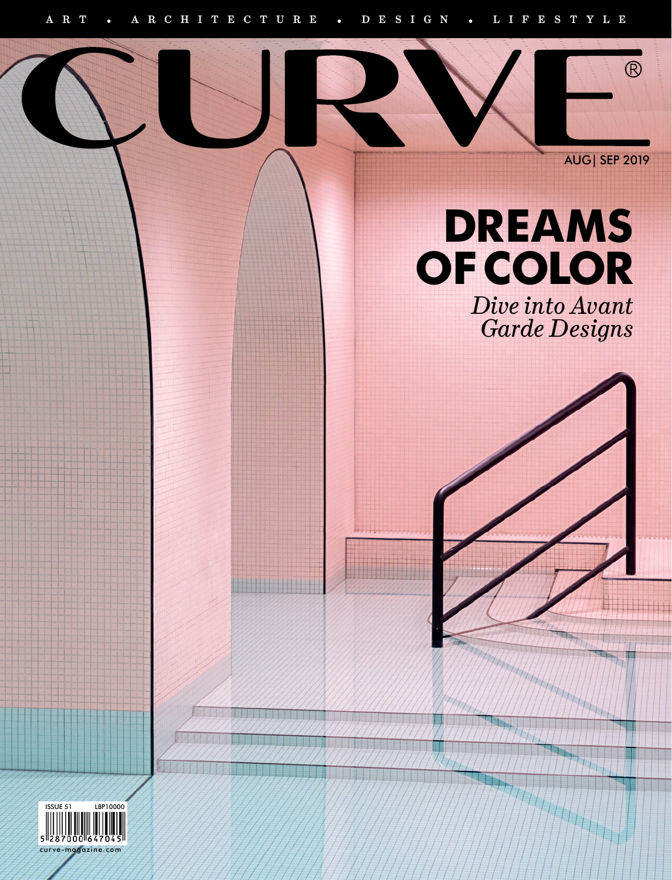11111111



 $\overline{\bigcirc}$ 

## **DREAMS OF COLOR**

*Dive into Avant Garde Designs*